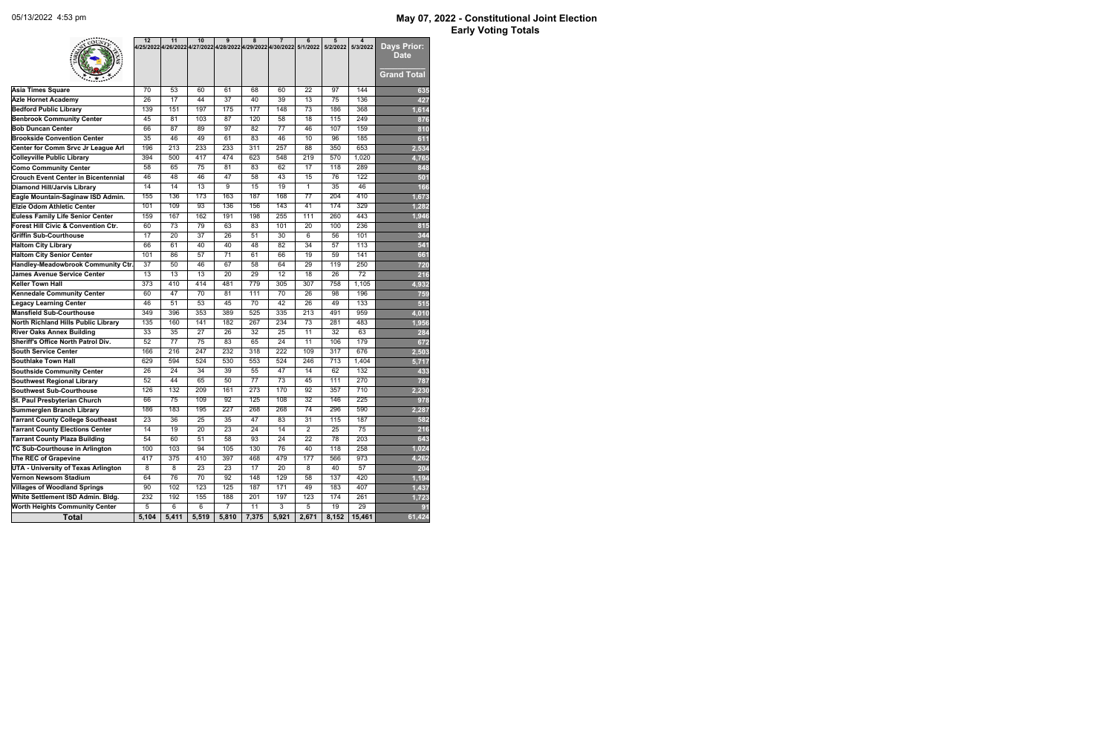|                                                                  | 12               | 11               | 10               | 9               | 8<br>4/25/2022 4/26/2022 4/27/2022 4/28/2022 4/29/2022 4/30/2022 5/1/2022 | $\overline{7}$   | 6                | 5<br>5/2/2022    | 4<br>5/3/2022    | <b>Days Prior:</b>                |
|------------------------------------------------------------------|------------------|------------------|------------------|-----------------|---------------------------------------------------------------------------|------------------|------------------|------------------|------------------|-----------------------------------|
|                                                                  |                  |                  |                  |                 |                                                                           |                  |                  |                  |                  | <b>Date</b><br><b>Grand Total</b> |
| <b>Asia Times Square</b>                                         | 70               | $\overline{53}$  | 60               | 61              | 68                                                                        | 60               | $\overline{22}$  | 97               | 144              | 635                               |
| <b>Azle Hornet Academy</b>                                       | $\overline{26}$  | $\overline{17}$  | 44               | $\overline{37}$ | $\overline{40}$                                                           | $\overline{39}$  | $\overline{13}$  | $\overline{75}$  | 136              | 427                               |
| <b>Bedford Public Library</b>                                    | 139              | 151              | 197              | 175             | 177                                                                       | 148              | $\overline{73}$  | 186              | 368              | 1,614                             |
| <b>Benbrook Community Center</b>                                 | 45               | 81               | 103              | $\overline{87}$ | 120                                                                       | 58               | 18               | 115              | 249              | 876                               |
| <b>Bob Duncan Center</b>                                         | 66               | $\overline{87}$  | 89               | $\overline{97}$ | $\overline{82}$                                                           | $\overline{77}$  | 46               | 107              | 159              | 810                               |
| <b>Brookside Convention Center</b>                               | $\overline{35}$  | 46               | 49               | 61              | 83                                                                        | 46               | 10               | 96               | 185              | 611                               |
| Center for Comm Srvc Jr League Arl                               | 196              | $\overline{213}$ | 233              | 233             | $\overline{311}$                                                          | 257              | $\overline{88}$  | 350              | 653              | 2,534                             |
| <b>Colleyville Public Library</b>                                | 394              | 500              | 417              | 474             | 623                                                                       | 548              | $\overline{219}$ | $\frac{1}{570}$  | 1,020            | 4,765                             |
| <b>Como Community Center</b>                                     | 58               | 65               | 75               | 81              | $\overline{83}$                                                           | 62               | $\overline{17}$  | 118              | 289              | 848                               |
| <b>Crouch Event Center in Bicentennial</b>                       | 46               | 48               | 46               | $\overline{47}$ | $\overline{58}$                                                           | $\overline{43}$  | 15               | 76               | 122              | 501                               |
| <b>Diamond Hill/Jarvis Library</b>                               | $\overline{14}$  | 14               | $\overline{13}$  | 9               | $\overline{15}$                                                           | $\overline{19}$  | $\mathbf{1}$     | $\overline{35}$  | $\overline{46}$  | 166                               |
| Eagle Mountain-Saginaw ISD Admin.                                | 155              | 136              | 173              | 163             | 187                                                                       | 168              | $\overline{77}$  | $\overline{204}$ | 410              | 1,673                             |
| <b>Elzie Odom Athletic Center</b>                                | 101              | 109              | $\overline{93}$  | 136             | 156                                                                       | 143              | $\overline{41}$  | 174              | 329              | 1,282                             |
| <b>Euless Family Life Senior Center</b>                          | 159              | 167              | 162              | 191             | 198                                                                       | 255              | 111              | 260              | 443              | 1,946                             |
| <b>Forest Hill Civic &amp; Convention Ctr.</b>                   | 60               | $\overline{73}$  | $\overline{79}$  | 63              | $\overline{83}$                                                           | 101              | $\overline{20}$  | 100              | 236              | 815                               |
| <b>Griffin Sub-Courthouse</b>                                    | $\overline{17}$  | $\overline{20}$  | $\overline{37}$  | $\overline{26}$ | $\overline{51}$                                                           | $\overline{30}$  | 6                | 56               | 101              | 344                               |
| <b>Haltom City Library</b>                                       | 66               | $\overline{61}$  | 40               | $\overline{40}$ | 48                                                                        | $\overline{82}$  | $\overline{34}$  | $\overline{57}$  | 113              | 541                               |
| <b>Haltom City Senior Center</b>                                 | 101              | $\overline{86}$  | $\overline{57}$  | $\overline{71}$ | 61                                                                        | 66               | $\overline{19}$  | $\overline{59}$  | 141              | 661                               |
| Handley-Meadowbrook Community Ctr.                               | $\overline{37}$  | $\overline{50}$  | 46               | 67              | 58                                                                        | 64               | 29               | 119              | 250              | 720                               |
| <b>James Avenue Service Center</b>                               | $\overline{13}$  | $\overline{13}$  | $\overline{13}$  | $\overline{20}$ | $\overline{29}$                                                           | $\overline{12}$  | $\overline{18}$  | $\overline{26}$  | $\overline{72}$  | 216                               |
| <b>Keller Town Hall</b>                                          | 373              | 410              | 414              | 481             | 779                                                                       | 305              | 307              | 758              | 1,105            | 4,932                             |
| <b>Kennedale Community Center</b>                                | 60               | $\overline{47}$  | $\overline{70}$  | 81              | 111                                                                       | $\overline{70}$  | $\overline{26}$  | 98               | 196              | 759                               |
| <b>Legacy Learning Center</b>                                    | 46               | $\overline{51}$  | 53               | 45              | $\overline{70}$                                                           | 42               | $\overline{26}$  | 49               | 133              | 515                               |
| <b>Mansfield Sub-Courthouse</b>                                  | 349              | 396              | 353              | 389             | 525                                                                       | 335              | 213              | 491              | 959              | 4,010                             |
| <b>North Richland Hills Public Library</b>                       | 135              | 160              | 141              | 182             | 267                                                                       | 234              | $\overline{73}$  | 281              | 483              | 1,956                             |
| <b>River Oaks Annex Building</b>                                 | $\overline{33}$  | $\overline{35}$  | $\overline{27}$  | $\overline{26}$ | $\overline{32}$                                                           | $\overline{25}$  | $\overline{11}$  | $\overline{32}$  | 63               | 284                               |
| <b>Sheriff's Office North Patrol Div.</b>                        | $\overline{52}$  | $\overline{77}$  | $\overline{75}$  | 83              | 65                                                                        | 24               | $\overline{11}$  | 106              | 179              | 672                               |
| <b>South Service Center</b>                                      | 166              | 216              | $\overline{247}$ | 232             | $\overline{318}$                                                          | $\overline{222}$ | 109              | $\overline{317}$ | 676              | 2,503                             |
| <b>Southlake Town Hall</b>                                       | 629              | 594              | 524              | 530             | 553                                                                       | 524              | 246              | $\overline{713}$ | 1,404            | 5,717                             |
| <b>Southside Community Center</b>                                | $\overline{26}$  | $\overline{24}$  | 34               | 39              | $\overline{55}$                                                           | $\overline{47}$  | $\overline{14}$  | 62               | $\overline{132}$ | 433                               |
| <b>Southwest Regional Library</b>                                | $\overline{52}$  | $\overline{44}$  | 65               | 50              | $\overline{77}$                                                           | $\overline{73}$  | $\overline{45}$  | 111              | 270              | 787                               |
| <b>Southwest Sub-Courthouse</b>                                  | 126              | 132              | 209              | 161             | $\overline{273}$                                                          | 170              | $\overline{92}$  | 357              | $\overline{710}$ | 2,230                             |
|                                                                  | 66               | $\overline{75}$  | 109              | $\overline{92}$ | 125                                                                       | 108              | $\overline{32}$  | 146              | 225              | 978                               |
| St. Paul Presbyterian Church<br><b>Summerglen Branch Library</b> | 186              | 183              | 195              | 227             | 268                                                                       | 268              | 74               | 296              | 590              |                                   |
| <b>Tarrant County College Southeast</b>                          | $\overline{23}$  | $\overline{36}$  | $\overline{25}$  | $\overline{35}$ | $\overline{47}$                                                           | 83               | $\overline{31}$  | 115              | 187              | 2,287                             |
| <b>Tarrant County Elections Center</b>                           |                  | $\overline{19}$  |                  |                 | $\overline{24}$                                                           |                  | $\overline{2}$   | $\overline{25}$  |                  | 582                               |
|                                                                  | 14               |                  | 20               | $\overline{23}$ |                                                                           | 14               |                  |                  | $\overline{75}$  | 216                               |
| <b>Tarrant County Plaza Building</b>                             | $\overline{54}$  | $\overline{60}$  | $\overline{51}$  | $\overline{58}$ | 93                                                                        | $\overline{24}$  | $\overline{22}$  | $\overline{78}$  | 203              | 643                               |
| <b>TC Sub-Courthouse in Arlington</b>                            | 100              | 103              | 94               | 105             | 130                                                                       | 76               | 40               | 118              | 258              | 1,024                             |
| The REC of Grapevine                                             | 417              | $\overline{375}$ | 410              | 397             | 468                                                                       | 479              | 177              | 566              | 973              | 4,262                             |
| <b>UTA - University of Texas Arlington</b>                       | 8                | $\overline{8}$   | $\overline{23}$  | $\overline{23}$ | $\overline{17}$                                                           | $\overline{20}$  | $\overline{8}$   | 40               | $\overline{57}$  | 204                               |
| Vernon Newsom Stadium                                            | 64               | $\overline{76}$  | $\overline{70}$  | 92              | 148                                                                       | 129              | $\overline{58}$  | 137              | 420              | 1,194                             |
| <b>Villages of Woodland Springs</b>                              | 90               | 102              | 123              | 125             | 187                                                                       | 171              | 49               | 183              | 407              | 1,437                             |
| White Settlement ISD Admin. Bldg.                                | $\overline{232}$ | 192              | 155              | 188             | 201                                                                       | 197              | $\overline{123}$ | 174              | $\overline{261}$ | 1,723                             |
| <b>Worth Heights Community Center</b>                            | 5                | $\overline{6}$   | $\overline{6}$   | $\overline{7}$  | $\overline{11}$                                                           | $\overline{3}$   | $\overline{5}$   | $\overline{19}$  | $\overline{29}$  | 91                                |
| <b>Total</b>                                                     | 5,104            | 5,411            | 5,519            | 5,810           | 7,375                                                                     | 5,921            | 2,671            | 8,152            | 15,461           | 61,424                            |

## **May 07, 2022 - Constitutional Joint Election Early Voting Totals**